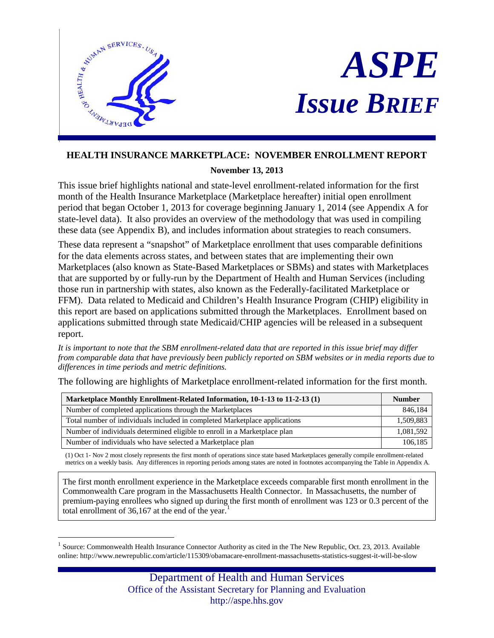

# *ASPE Issue BRIEF*

# **HEALTH INSURANCE MARKETPLACE: NOVEMBER ENROLLMENT REPORT**

# **November 13, 2013**

This issue brief highlights national and state-level enrollment-related information for the first month of the Health Insurance Marketplace (Marketplace hereafter) initial open enrollment period that began October 1, 2013 for coverage beginning January 1, 2014 (see Appendix A for state-level data). It also provides an overview of the methodology that was used in compiling these data (see Appendix B), and includes information about strategies to reach consumers.

These data represent a "snapshot" of Marketplace enrollment that uses comparable definitions for the data elements across states, and between states that are implementing their own Marketplaces (also known as State-Based Marketplaces or SBMs) and states with Marketplaces that are supported by or fully-run by the Department of Health and Human Services (including those run in partnership with states, also known as the Federally-facilitated Marketplace or FFM). Data related to Medicaid and Children's Health Insurance Program (CHIP) eligibility in this report are based on applications submitted through the Marketplaces. Enrollment based on applications submitted through state Medicaid/CHIP agencies will be released in a subsequent report.

*It is important to note that the SBM enrollment-related data that are reported in this issue brief may differ from comparable data that have previously been publicly reported on SBM websites or in media reports due to differences in time periods and metric definitions.* 

The following are highlights of Marketplace enrollment-related information for the first month.

| Marketplace Monthly Enrollment-Related Information, 10-1-13 to 11-2-13 (1) |           |  |  |  |
|----------------------------------------------------------------------------|-----------|--|--|--|
| Number of completed applications through the Marketplaces                  | 846,184   |  |  |  |
| Total number of individuals included in completed Marketplace applications | 1,509,883 |  |  |  |
| Number of individuals determined eligible to enroll in a Marketplace plan  | 1,081,592 |  |  |  |
| Number of individuals who have selected a Marketplace plan                 | 106.185   |  |  |  |

(1) Oct 1- Nov 2 most closely represents the first month of operations since state based Marketplaces generally compile enrollment-related metrics on a weekly basis. Any differences in reporting periods among states are noted in footnotes accompanying the Table in Appendix A.

The first month enrollment experience in the Marketplace exceeds comparable first month enrollment in the Commonwealth Care program in the Massachusetts Health Connector. In Massachusetts, the number of premium-paying enrollees who signed up during the first month of enrollment was 123 or 0.3 percent of the total enrollment of  $36,167$  $36,167$  $36,167$  at the end of the year.<sup>1</sup>

<span id="page-0-1"></span><span id="page-0-0"></span> $\overline{a}$ <sup>1</sup> Source: Commonwealth Health Insurance Connector Authority as cited in the The New Republic, Oct. 23, 2013. Available online: http://www.newrepublic.com/article/115309/obamacare-enrollment-massachusetts-statistics-suggest-it-will-be-slow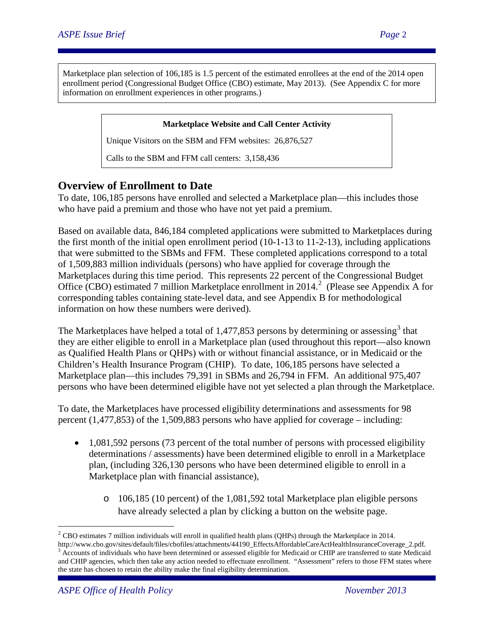Marketplace plan selection of 106,185 is 1.5 percent of the estimated enrollees at the end of the 2014 open enrollment period (Congressional Budget Office (CBO) estimate, May 2013). (See Appendix C for more information on enrollment experiences in other programs.)

#### **Marketplace Website and Call Center Activity**

Unique Visitors on the SBM and FFM websites: 26,876,527

Calls to the SBM and FFM call centers: 3,158,436

# **Overview of Enrollment to Date**

To date, 106,185 persons have enrolled and selected a Marketplace plan—this includes those who have paid a premium and those who have not yet paid a premium.

Based on available data, 846,184 completed applications were submitted to Marketplaces during the first month of the initial open enrollment period  $(10-1-13)$  to  $11-2-13$ ), including applications that were submitted to the SBMs and FFM. These completed applications correspond to a total of 1,509,883 million individuals (persons) who have applied for coverage through the Marketplaces during this time period. This represents 22 percent of the Congressional Budget Office (CBO) estimated 7 million Marketplace enrollment in [2](#page-0-1)014.<sup>2</sup> (Please see Appendix A for corresponding tables containing state-level data, and see Appendix B for methodological information on how these numbers were derived).

The Marketplaces have helped a total of 1,477,85[3](#page-1-0) persons by determining or assessing<sup>3</sup> that they are either eligible to enroll in a Marketplace plan (used throughout this report—also known as Qualified Health Plans or QHPs) with or without financial assistance, or in Medicaid or the Children's Health Insurance Program (CHIP). To date, 106,185 persons have selected a Marketplace plan—this includes 79,391 in SBMs and 26,794 in FFM. An additional 975,407 persons who have been determined eligible have not yet selected a plan through the Marketplace.

To date, the Marketplaces have processed eligibility determinations and assessments for 98 percent (1,477,853) of the 1,509,883 persons who have applied for coverage – including:

- 1,081,592 persons (73 percent of the total number of persons with processed eligibility determinations / assessments) have been determined eligible to enroll in a Marketplace plan, (including 326,130 persons who have been determined eligible to enroll in a Marketplace plan with financial assistance),
	- o 106,185 (10 percent) of the 1,081,592 total Marketplace plan eligible persons have already selected a plan by clicking a button on the website page.

 $\overline{a}$ 

<span id="page-1-1"></span> $2^2$  CBO estimates 7 million individuals will enroll in qualified health plans (QHPs) through the Marketplace in 2014.

<span id="page-1-0"></span>http://www.cbo.gov/sites/default/files/cbofiles/attachments/44190\_EffectsAffordableCareActHealthInsuranceCoverage\_2.pdf. <sup>3</sup> Accounts of individuals who have been determined or assessed eligible for Medicaid or CHIP are transferred to state Medicaid and CHIP agencies, which then take any action needed to effectuate enrollment. "Assessment" refers to those FFM states where the state has chosen to retain the ability make the final eligibility determination.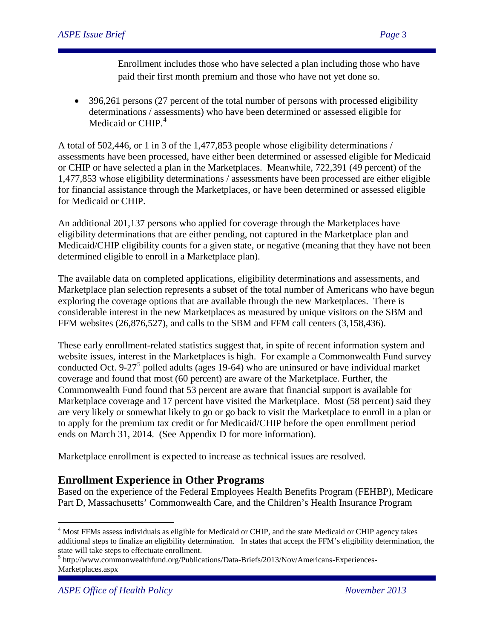Enrollment includes those who have selected a plan including those who have paid their first month premium and those who have not yet done so.

• 396,261 persons (27 percent of the total number of persons with processed eligibility determinations / assessments) who have been determined or assessed eligible for Medicaid or CHIP.<sup>[4](#page-1-1)</sup>

A total of 502,446, or 1 in 3 of the 1,477,853 people whose eligibility determinations / assessments have been processed, have either been determined or assessed eligible for Medicaid or CHIP or have selected a plan in the Marketplaces. Meanwhile, 722,391 (49 percent) of the 1,477,853 whose eligibility determinations / assessments have been processed are either eligible for financial assistance through the Marketplaces, or have been determined or assessed eligible for Medicaid or CHIP.

An additional 201,137 persons who applied for coverage through the Marketplaces have eligibility determinations that are either pending, not captured in the Marketplace plan and Medicaid/CHIP eligibility counts for a given state, or negative (meaning that they have not been determined eligible to enroll in a Marketplace plan).

The available data on completed applications, eligibility determinations and assessments, and Marketplace plan selection represents a subset of the total number of Americans who have begun exploring the coverage options that are available through the new Marketplaces. There is considerable interest in the new Marketplaces as measured by unique visitors on the SBM and FFM websites (26,876,527), and calls to the SBM and FFM call centers (3,158,436).

These early enrollment-related statistics suggest that, in spite of recent information system and website issues, interest in the Marketplaces is high. For example a Commonwealth Fund survey conducted Oct. 9-27<sup>[5](#page-2-0)</sup> polled adults (ages 19-64) who are uninsured or have individual market coverage and found that most (60 percent) are aware of the Marketplace. Further, the Commonwealth Fund found that 53 percent are aware that financial support is available for Marketplace coverage and 17 percent have visited the Marketplace. Most (58 percent) said they are very likely or somewhat likely to go or go back to visit the Marketplace to enroll in a plan or to apply for the premium tax credit or for Medicaid/CHIP before the open enrollment period ends on March 31, 2014. (See Appendix D for more information).

Marketplace enrollment is expected to increase as technical issues are resolved.

# **Enrollment Experience in Other Programs**

Based on the experience of the Federal Employees Health Benefits Program (FEHBP), Medicare Part D, Massachusetts' Commonwealth Care, and the Children's Health Insurance Program

<span id="page-2-1"></span> $\overline{a}$ <sup>4</sup> Most FFMs assess individuals as eligible for Medicaid or CHIP, and the state Medicaid or CHIP agency takes additional steps to finalize an eligibility determination. In states that accept the FFM's eligibility determination, the state will take steps to effectuate enrollment.

<span id="page-2-0"></span><sup>5</sup> http://www.commonwealthfund.org/Publications/Data-Briefs/2013/Nov/Americans-Experiences-Marketplaces.aspx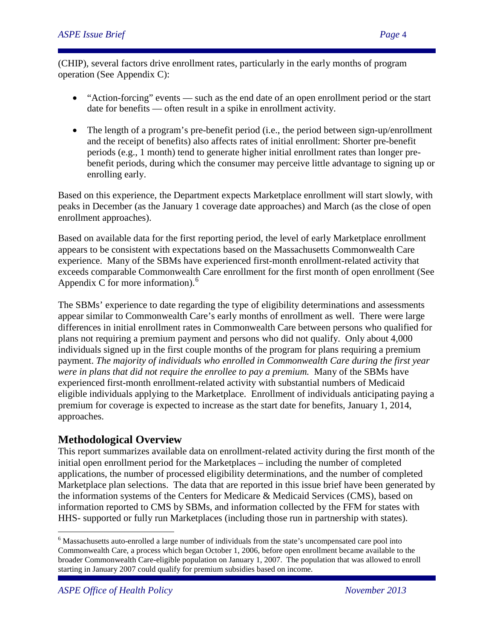(CHIP), several factors drive enrollment rates, particularly in the early months of program operation (See Appendix C):

- "Action-forcing" events such as the end date of an open enrollment period or the start date for benefits — often result in a spike in enrollment activity.
- The length of a program's pre-benefit period (i.e., the period between sign-up/enrollment and the receipt of benefits) also affects rates of initial enrollment: Shorter pre-benefit periods (e.g., 1 month) tend to generate higher initial enrollment rates than longer prebenefit periods, during which the consumer may perceive little advantage to signing up or enrolling early.

Based on this experience, the Department expects Marketplace enrollment will start slowly, with peaks in December (as the January 1 coverage date approaches) and March (as the close of open enrollment approaches).

Based on available data for the first reporting period, the level of early Marketplace enrollment appears to be consistent with expectations based on the Massachusetts Commonwealth Care experience. Many of the SBMs have experienced first-month enrollment-related activity that exceeds comparable Commonwealth Care enrollment for the first month of open enrollment (See Appendix C for more information). $<sup>6</sup>$  $<sup>6</sup>$  $<sup>6</sup>$ </sup>

The SBMs' experience to date regarding the type of eligibility determinations and assessments appear similar to Commonwealth Care's early months of enrollment as well. There were large differences in initial enrollment rates in Commonwealth Care between persons who qualified for plans not requiring a premium payment and persons who did not qualify. Only about 4,000 individuals signed up in the first couple months of the program for plans requiring a premium payment. *The majority of individuals who enrolled in Commonwealth Care during the first year were in plans that did not require the enrollee to pay a premium.* Many of the SBMs have experienced first-month enrollment-related activity with substantial numbers of Medicaid eligible individuals applying to the Marketplace. Enrollment of individuals anticipating paying a premium for coverage is expected to increase as the start date for benefits, January 1, 2014, approaches.

# **Methodological Overview**

This report summarizes available data on enrollment-related activity during the first month of the initial open enrollment period for the Marketplaces – including the number of completed applications, the number of processed eligibility determinations, and the number of completed Marketplace plan selections. The data that are reported in this issue brief have been generated by the information systems of the Centers for Medicare & Medicaid Services (CMS), based on information reported to CMS by SBMs, and information collected by the FFM for states with HHS- supported or fully run Marketplaces (including those run in partnership with states).

 $\overline{a}$ 

<span id="page-3-0"></span><sup>&</sup>lt;sup>6</sup> Massachusetts auto-enrolled a large number of individuals from the state's uncompensated care pool into Commonwealth Care, a process which began October 1, 2006, before open enrollment became available to the broader Commonwealth Care-eligible population on January 1, 2007. The population that was allowed to enroll starting in January 2007 could qualify for premium subsidies based on income.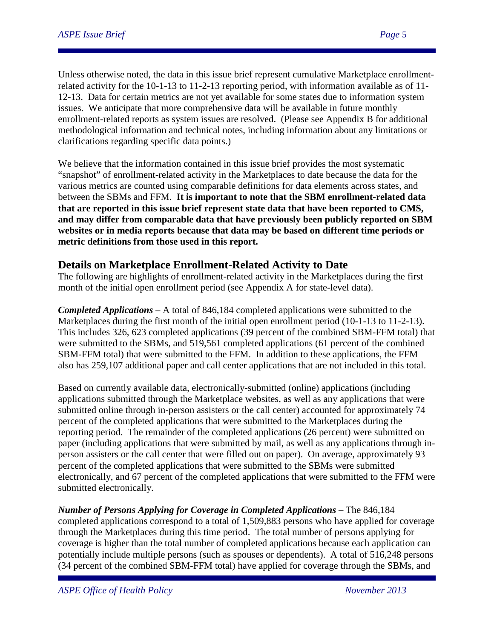Unless otherwise noted, the data in this issue brief represent cumulative Marketplace enrollmentrelated activity for the 10-1-13 to 11-2-13 reporting period, with information available as of 11- 12-13. Data for certain metrics are not yet available for some states due to information system issues. We anticipate that more comprehensive data will be available in future monthly enrollment-related reports as system issues are resolved. (Please see Appendix B for additional methodological information and technical notes, including information about any limitations or clarifications regarding specific data points.)

We believe that the information contained in this issue brief provides the most systematic "snapshot" of enrollment-related activity in the Marketplaces to date because the data for the various metrics are counted using comparable definitions for data elements across states, and between the SBMs and FFM. **It is important to note that the SBM enrollment-related data that are reported in this issue brief represent state data that have been reported to CMS, and may differ from comparable data that have previously been publicly reported on SBM websites or in media reports because that data may be based on different time periods or metric definitions from those used in this report.** 

# **Details on Marketplace Enrollment-Related Activity to Date**

The following are highlights of enrollment-related activity in the Marketplaces during the first month of the initial open enrollment period (see Appendix A for state-level data).

*Completed Applications* – A total of 846,184 completed applications were submitted to the Marketplaces during the first month of the initial open enrollment period (10-1-13 to 11-2-13). This includes 326, 623 completed applications (39 percent of the combined SBM-FFM total) that were submitted to the SBMs, and 519,561 completed applications (61 percent of the combined SBM-FFM total) that were submitted to the FFM. In addition to these applications, the FFM also has 259,107 additional paper and call center applications that are not included in this total.

Based on currently available data, electronically-submitted (online) applications (including applications submitted through the Marketplace websites, as well as any applications that were submitted online through in-person assisters or the call center) accounted for approximately 74 percent of the completed applications that were submitted to the Marketplaces during the reporting period. The remainder of the completed applications (26 percent) were submitted on paper (including applications that were submitted by mail, as well as any applications through inperson assisters or the call center that were filled out on paper). On average, approximately 93 percent of the completed applications that were submitted to the SBMs were submitted electronically, and 67 percent of the completed applications that were submitted to the FFM were submitted electronically.

*Number of Persons Applying for Coverage in Completed Applications* – The 846,184 completed applications correspond to a total of 1,509,883 persons who have applied for coverage through the Marketplaces during this time period. The total number of persons applying for coverage is higher than the total number of completed applications because each application can potentially include multiple persons (such as spouses or dependents). A total of 516,248 persons (34 percent of the combined SBM-FFM total) have applied for coverage through the SBMs, and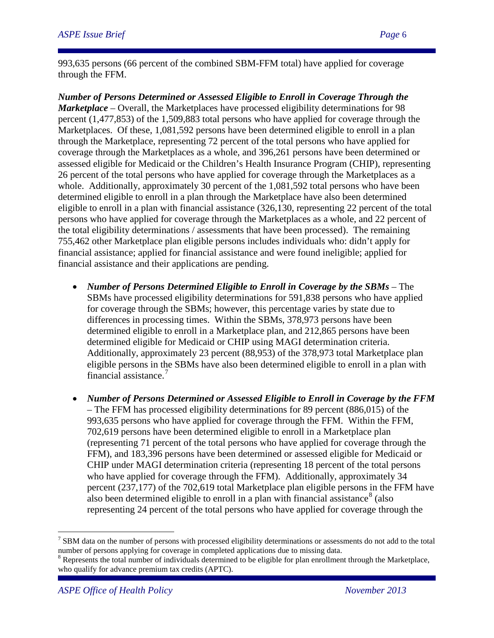993,635 persons (66 percent of the combined SBM-FFM total) have applied for coverage through the FFM.

*Number of Persons Determined or Assessed Eligible to Enroll in Coverage Through the Marketplace* – Overall, the Marketplaces have processed eligibility determinations for 98 percent (1,477,853) of the 1,509,883 total persons who have applied for coverage through the Marketplaces. Of these, 1,081,592 persons have been determined eligible to enroll in a plan through the Marketplace, representing 72 percent of the total persons who have applied for coverage through the Marketplaces as a whole, and 396,261 persons have been determined or assessed eligible for Medicaid or the Children's Health Insurance Program (CHIP), representing 26 percent of the total persons who have applied for coverage through the Marketplaces as a whole. Additionally, approximately 30 percent of the 1,081,592 total persons who have been determined eligible to enroll in a plan through the Marketplace have also been determined eligible to enroll in a plan with financial assistance (326,130, representing 22 percent of the total persons who have applied for coverage through the Marketplaces as a whole, and 22 percent of the total eligibility determinations / assessments that have been processed). The remaining 755,462 other Marketplace plan eligible persons includes individuals who: didn't apply for financial assistance; applied for financial assistance and were found ineligible; applied for financial assistance and their applications are pending.

- *Number of Persons Determined Eligible to Enroll in Coverage by the SBMs* The SBMs have processed eligibility determinations for 591,838 persons who have applied for coverage through the SBMs; however, this percentage varies by state due to differences in processing times. Within the SBMs, 378,973 persons have been determined eligible to enroll in a Marketplace plan, and 212,865 persons have been determined eligible for Medicaid or CHIP using MAGI determination criteria. Additionally, approximately 23 percent (88,953) of the 378,973 total Marketplace plan eligible persons in the SBMs have also been determined eligible to enroll in a plan with financial assistance.[7](#page-3-0)
- *Number of Persons Determined or Assessed Eligible to Enroll in Coverage by the FFM* – The FFM has processed eligibility determinations for 89 percent (886,015) of the 993,635 persons who have applied for coverage through the FFM. Within the FFM, 702,619 persons have been determined eligible to enroll in a Marketplace plan (representing 71 percent of the total persons who have applied for coverage through the FFM), and 183,396 persons have been determined or assessed eligible for Medicaid or CHIP under MAGI determination criteria (representing 18 percent of the total persons who have applied for coverage through the FFM). Additionally, approximately 34 percent (237,177) of the 702,619 total Marketplace plan eligible persons in the FFM have also been determined eligible to enroll in a plan with financial assistance<sup>[8](#page-5-0)</sup> (also representing 24 percent of the total persons who have applied for coverage through the

<span id="page-5-1"></span> $\overline{a}$ 

 $7$  SBM data on the number of persons with processed eligibility determinations or assessments do not add to the total number of persons applying for coverage in completed applications due to missing data.

<span id="page-5-0"></span> $8$  Represents the total number of individuals determined to be eligible for plan enrollment through the Marketplace, who qualify for advance premium tax credits (APTC).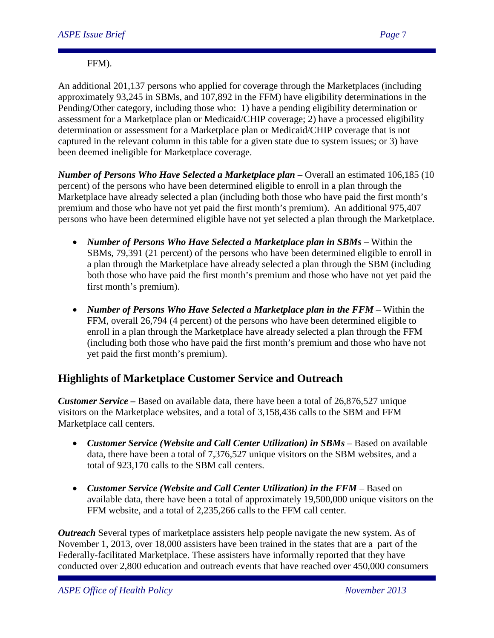#### FFM).

An additional 201,137 persons who applied for coverage through the Marketplaces (including approximately 93,245 in SBMs, and 107,892 in the FFM) have eligibility determinations in the Pending/Other category, including those who: 1) have a pending eligibility determination or assessment for a Marketplace plan or Medicaid/CHIP coverage; 2) have a processed eligibility determination or assessment for a Marketplace plan or Medicaid/CHIP coverage that is not captured in the relevant column in this table for a given state due to system issues; or 3) have been deemed ineligible for Marketplace coverage.

*Number of Persons Who Have Selected a Marketplace plan* – Overall an estimated 106,185 (10 percent) of the persons who have been determined eligible to enroll in a plan through the Marketplace have already selected a plan (including both those who have paid the first month's premium and those who have not yet paid the first month's premium). An additional 975,407 persons who have been determined eligible have not yet selected a plan through the Marketplace.

- *Number of Persons Who Have Selected a Marketplace plan in SBMs* Within the SBMs, 79,391 (21 percent) of the persons who have been determined eligible to enroll in a plan through the Marketplace have already selected a plan through the SBM (including both those who have paid the first month's premium and those who have not yet paid the first month's premium).
- *Number of Persons Who Have Selected a Marketplace plan in the FFM* Within the FFM, overall 26,794 (4 percent) of the persons who have been determined eligible to enroll in a plan through the Marketplace have already selected a plan through the FFM (including both those who have paid the first month's premium and those who have not yet paid the first month's premium).

# **Highlights of Marketplace Customer Service and Outreach**

*Customer Service –* Based on available data, there have been a total of 26,876,527 unique visitors on the Marketplace websites, and a total of 3,158,436 calls to the SBM and FFM Marketplace call centers.

- *Customer Service (Website and Call Center Utilization) in SBMs* Based on available data, there have been a total of 7,376,527 unique visitors on the SBM websites, and a total of 923,170 calls to the SBM call centers.
- *Customer Service (Website and Call Center Utilization) in the FFM* Based on available data, there have been a total of approximately 19,500,000 unique visitors on the FFM website, and a total of 2,235,266 calls to the FFM call center.

*Outreach* Several types of marketplace assisters help people navigate the new system. As of November 1, 2013, over 18,000 assisters have been trained in the states that are a part of the Federally-facilitated Marketplace. These assisters have informally reported that they have conducted over 2,800 education and outreach events that have reached over 450,000 consumers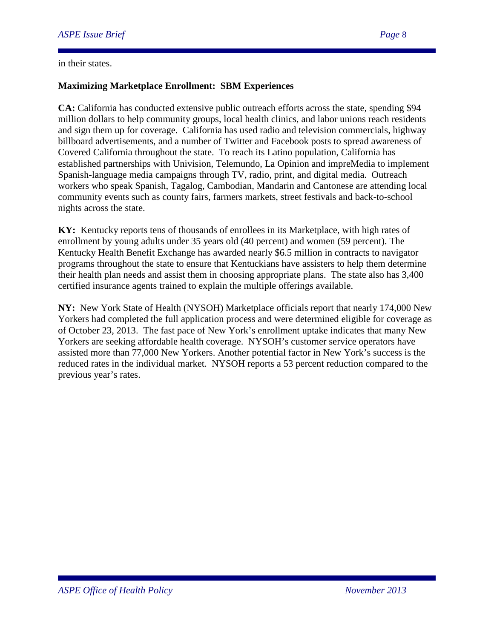#### in their states.

#### **Maximizing Marketplace Enrollment: SBM Experiences**

**CA:** California has conducted extensive public outreach efforts across the state, spending \$94 million dollars to help community groups, local health clinics, and labor unions reach residents and sign them up for coverage. California has used radio and television commercials, highway billboard advertisements, and a number of Twitter and Facebook posts to spread awareness of Covered California throughout the state. To reach its Latino population, California has established partnerships with Univision, Telemundo, La Opinion and impreMedia to implement Spanish-language media campaigns through TV, radio, print, and digital media. Outreach workers who speak Spanish, Tagalog, Cambodian, Mandarin and Cantonese are attending local community events such as county fairs, farmers markets, street festivals and back-to-school nights across the state.

**KY:** Kentucky reports tens of thousands of enrollees in its Marketplace, with high rates of enrollment by young adults under 35 years old (40 percent) and women (59 percent). The Kentucky Health Benefit Exchange has awarded nearly \$6.5 million in contracts to navigator programs throughout the state to ensure that Kentuckians have assisters to help them determine their health plan needs and assist them in choosing appropriate plans. The state also has 3,400 certified insurance agents trained to explain the multiple offerings available.

**NY:** New York State of Health (NYSOH) Marketplace officials report that nearly 174,000 New Yorkers had completed the full application process and were determined eligible for coverage as of October 23, 2013. The fast pace of New York's enrollment uptake indicates that many New Yorkers are seeking affordable health coverage. NYSOH's customer service operators have assisted more than 77,000 New Yorkers. Another potential factor in New York's success is the reduced rates in the individual market. NYSOH reports a 53 percent reduction compared to the previous year's rates.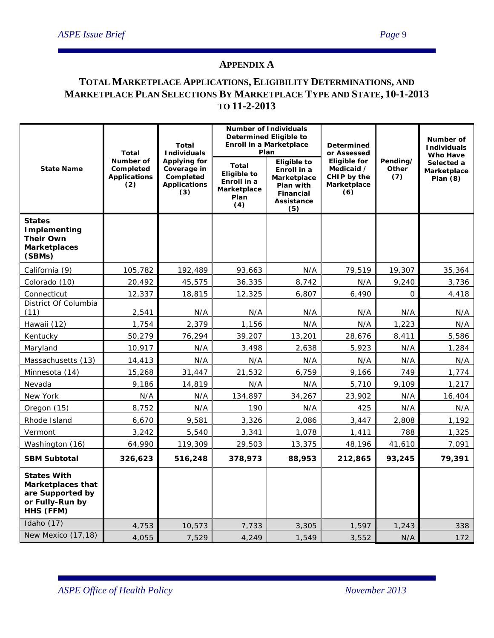#### **APPENDIX A**

# **TOTAL MARKETPLACE APPLICATIONS, ELIGIBILITY DETERMINATIONS, AND MARKETPLACE PLAN SELECTIONS BY MARKETPLACE TYPE AND STATE, 10-1-2013 TO 11-2-2013**

|                                                                                                    | <b>Total</b>                                         | Total<br><b>Individuals</b>                                            |                                                                                 | <b>Number of Individuals</b><br><b>Determined Eligible to</b><br>Enroll in a Marketplace<br>Plan       | <b>Determined</b><br>or Assessed                                       |                          | Number of<br><b>Individuals</b><br><b>Who Have</b> |  |
|----------------------------------------------------------------------------------------------------|------------------------------------------------------|------------------------------------------------------------------------|---------------------------------------------------------------------------------|--------------------------------------------------------------------------------------------------------|------------------------------------------------------------------------|--------------------------|----------------------------------------------------|--|
| <b>State Name</b>                                                                                  | Number of<br>Completed<br><b>Applications</b><br>(2) | Applying for<br>Coverage in<br>Completed<br><b>Applications</b><br>(3) | <b>Total</b><br><b>Eligible to</b><br>Enroll in a<br>Marketplace<br>Plan<br>(4) | <b>Eligible to</b><br>Enroll in a<br>Marketplace<br>Plan with<br><b>Financial</b><br>Assistance<br>(5) | <b>Eligible for</b><br>Medicaid /<br>CHIP by the<br>Marketplace<br>(6) | Pending/<br>Other<br>(7) | Selected a<br>Marketplace<br>Plan $(8)$            |  |
| <b>States</b><br><b>Implementing</b><br><b>Their Own</b><br><b>Marketplaces</b><br>(SBMs)          |                                                      |                                                                        |                                                                                 |                                                                                                        |                                                                        |                          |                                                    |  |
| California (9)                                                                                     | 105,782                                              | 192,489                                                                | 93,663                                                                          | N/A                                                                                                    | 79,519                                                                 | 19,307                   | 35,364                                             |  |
| Colorado (10)                                                                                      | 20,492                                               | 45,575                                                                 | 36,335                                                                          | 8,742                                                                                                  | N/A                                                                    | 9,240                    | 3,736                                              |  |
| Connecticut                                                                                        | 12,337                                               | 18,815                                                                 | 12,325                                                                          | 6,807                                                                                                  | 6,490                                                                  | $\mathbf{O}$             | 4,418                                              |  |
| District Of Columbia<br>(11)                                                                       | 2,541                                                | N/A                                                                    | N/A                                                                             | N/A                                                                                                    | N/A                                                                    | N/A                      | N/A                                                |  |
| Hawaii (12)                                                                                        | 1,754                                                | 2,379                                                                  | 1,156                                                                           | N/A                                                                                                    | N/A                                                                    | 1,223                    | N/A                                                |  |
| Kentucky                                                                                           | 50,279                                               | 76,294                                                                 | 39,207                                                                          | 13,201                                                                                                 | 28,676                                                                 | 8,411                    | 5,586                                              |  |
| Maryland                                                                                           | 10,917                                               | N/A                                                                    | 3,498                                                                           | 2,638                                                                                                  | 5,923                                                                  | N/A                      | 1,284                                              |  |
| Massachusetts (13)                                                                                 | 14,413                                               | N/A                                                                    | N/A                                                                             | N/A                                                                                                    | N/A                                                                    | N/A                      | N/A                                                |  |
| Minnesota (14)                                                                                     | 15,268                                               | 31,447                                                                 | 21,532                                                                          | 6,759                                                                                                  | 9,166                                                                  | 749                      | 1,774                                              |  |
| Nevada                                                                                             | 9,186                                                | 14,819                                                                 | N/A                                                                             | N/A                                                                                                    | 5,710                                                                  | 9,109                    | 1,217                                              |  |
| New York                                                                                           | N/A                                                  | N/A                                                                    | 134,897                                                                         | 34,267                                                                                                 | 23,902                                                                 | N/A                      | 16,404                                             |  |
| Oregon (15)                                                                                        | 8,752                                                | N/A                                                                    | 190                                                                             | N/A                                                                                                    | 425                                                                    | N/A                      | N/A                                                |  |
| Rhode Island                                                                                       | 6,670                                                | 9,581                                                                  | 3,326                                                                           | 2,086                                                                                                  | 3,447                                                                  | 2,808                    | 1,192                                              |  |
| Vermont                                                                                            | 3,242                                                | 5,540                                                                  | 3,341                                                                           | 1,078                                                                                                  | 1,411                                                                  | 788                      | 1,325                                              |  |
| Washington (16)                                                                                    | 64,990                                               | 119,309                                                                | 29,503                                                                          | 13,375                                                                                                 | 48,196                                                                 | 41,610                   | 7,091                                              |  |
| <b>SBM Subtotal</b>                                                                                | 326,623                                              | 516,248                                                                | 378,973                                                                         | 88,953                                                                                                 | 212,865                                                                | 93,245                   | 79,391                                             |  |
| <b>States With</b><br><b>Marketplaces that</b><br>are Supported by<br>or Fully-Run by<br>HHS (FFM) |                                                      |                                                                        |                                                                                 |                                                                                                        |                                                                        |                          |                                                    |  |
| Idaho (17)                                                                                         | 4,753                                                | 10,573                                                                 | 7,733                                                                           | 3,305                                                                                                  | 1,597                                                                  | 1,243                    | 338                                                |  |
| New Mexico (17,18)                                                                                 | 4,055                                                | 7,529                                                                  | 4,249                                                                           | 1,549                                                                                                  | 3,552                                                                  | N/A                      | 172                                                |  |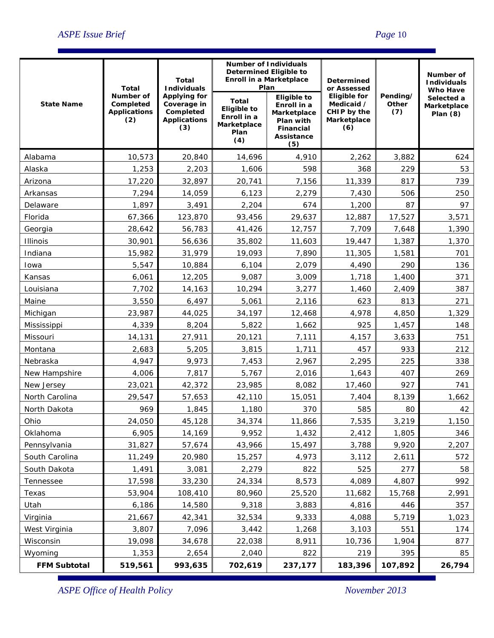|                     | Total                                                | Total<br><b>Individuals</b>                                                   | Determined Eligible to<br><b>Enroll in a Marketplace</b>                        | <b>Number of Individuals</b><br>Plan                                                                   | <b>Determined</b><br>or Assessed |                          | Number of<br><b>Individuals</b>                            |  |
|---------------------|------------------------------------------------------|-------------------------------------------------------------------------------|---------------------------------------------------------------------------------|--------------------------------------------------------------------------------------------------------|----------------------------------|--------------------------|------------------------------------------------------------|--|
| <b>State Name</b>   | Number of<br>Completed<br><b>Applications</b><br>(2) | <b>Applying for</b><br>Coverage in<br>Completed<br><b>Applications</b><br>(3) | <b>Total</b><br><b>Eligible to</b><br>Enroll in a<br>Marketplace<br>Plan<br>(4) | <b>Eligible to</b><br>Enroll in a<br>Marketplace<br>Plan with<br><b>Financial</b><br>Assistance<br>(5) |                                  | Pending/<br>Other<br>(7) | <b>Who Have</b><br>Selected a<br>Marketplace<br>Plan $(8)$ |  |
| Alabama             | 10,573                                               | 20,840                                                                        | 14,696                                                                          | 4,910                                                                                                  | 2,262                            | 3,882                    | 624                                                        |  |
| Alaska              | 1,253                                                | 2,203                                                                         | 1,606                                                                           | 598                                                                                                    | 368                              | 229                      | 53                                                         |  |
| Arizona             | 17,220                                               | 32,897                                                                        | 20,741                                                                          | 7,156                                                                                                  | 11,339                           | 817                      | 739                                                        |  |
| Arkansas            | 7,294                                                | 14,059                                                                        | 6,123                                                                           | 2,279                                                                                                  | 7,430                            | 506                      | 250                                                        |  |
| Delaware            | 1,897                                                | 3,491                                                                         | 2,204                                                                           | 674                                                                                                    | 1,200                            | 87                       | 97                                                         |  |
| Florida             | 67,366                                               | 123,870                                                                       | 93,456                                                                          | 29,637                                                                                                 | 12,887                           | 17,527                   | 3,571                                                      |  |
| Georgia             | 28,642                                               | 56,783                                                                        | 41,426                                                                          | 12,757                                                                                                 | 7,709                            | 7,648                    | 1,390                                                      |  |
| Illinois            | 30,901                                               | 56,636                                                                        | 35,802                                                                          | 11,603                                                                                                 | 19,447                           | 1,387                    | 1,370                                                      |  |
| Indiana             | 15,982                                               | 31,979                                                                        | 19,093                                                                          | 7,890                                                                                                  | 11,305                           | 1,581                    | 701                                                        |  |
| Iowa                | 5,547                                                | 10,884                                                                        | 6,104                                                                           | 2,079                                                                                                  | 4,490                            | 290                      | 136                                                        |  |
| Kansas              | 6,061                                                | 12,205                                                                        | 9,087                                                                           | 3,009                                                                                                  | 1,718                            | 1,400                    | 371                                                        |  |
| Louisiana           | 7,702                                                | 14,163                                                                        | 10,294                                                                          | 3,277                                                                                                  | 1,460                            | 2,409                    | 387                                                        |  |
| Maine               | 3,550                                                | 6,497                                                                         | 5,061                                                                           | 2,116                                                                                                  | 623                              | 813                      | 271                                                        |  |
| Michigan            | 23,987                                               | 44,025                                                                        | 34,197                                                                          | 12,468                                                                                                 | 4,978                            | 4,850                    | 1,329                                                      |  |
| Mississippi         | 4,339                                                | 8,204                                                                         | 5,822                                                                           | 1,662                                                                                                  | 925                              | 1,457                    | 148                                                        |  |
| Missouri            | 14,131                                               | 27,911                                                                        | 20,121                                                                          | 7,111                                                                                                  | 4,157                            | 3,633                    | 751                                                        |  |
| Montana             | 2,683                                                | 5,205                                                                         | 3,815                                                                           | 1,711                                                                                                  | 457                              | 933                      | 212                                                        |  |
| Nebraska            | 4,947                                                | 9,973                                                                         | 7,453                                                                           | 2,967                                                                                                  | 2,295                            | 225                      | 338                                                        |  |
| New Hampshire       | 4,006                                                | 7,817                                                                         | 5,767                                                                           | 2,016                                                                                                  | 1,643                            | 407                      | 269                                                        |  |
| New Jersey          | 23,021                                               | 42,372                                                                        | 23,985                                                                          | 8,082                                                                                                  | 17,460                           | 927                      | 741                                                        |  |
| North Carolina      | 29,547                                               | 57,653                                                                        | 42,110                                                                          | 15,051                                                                                                 | 7,404                            | 8,139                    | 1,662                                                      |  |
| North Dakota        | 969                                                  | 1,845                                                                         | 1,180                                                                           | 370                                                                                                    | 585                              | 80                       | 42                                                         |  |
| Ohio                | 24,050                                               | 45,128                                                                        | 34,374                                                                          | 11,866                                                                                                 | 7,535                            | 3,219                    | 1,150                                                      |  |
| Oklahoma            | 6,905                                                | 14,169                                                                        | 9,952                                                                           | 1,432                                                                                                  | 2,412                            | 1,805                    | 346                                                        |  |
| Pennsylvania        | 31,827                                               | 57,674                                                                        | 43,966                                                                          | 15,497                                                                                                 | 3,788                            | 9,920                    | 2,207                                                      |  |
| South Carolina      | 11,249                                               | 20,980                                                                        | 15,257                                                                          | 4,973                                                                                                  | 3,112                            | 2,611                    | 572                                                        |  |
| South Dakota        | 1,491                                                | 3,081                                                                         | 2,279                                                                           | 822                                                                                                    | 525                              | 277                      | 58                                                         |  |
| Tennessee           | 17,598                                               | 33,230                                                                        | 24,334                                                                          | 8,573                                                                                                  | 4,089                            | 4,807                    | 992                                                        |  |
| Texas               | 53,904                                               | 108,410                                                                       | 80,960                                                                          | 25,520                                                                                                 | 11,682                           | 15,768                   | 2,991                                                      |  |
| Utah                | 6,186                                                | 14,580                                                                        | 9,318                                                                           | 3,883                                                                                                  | 4,816                            | 446                      | 357                                                        |  |
| Virginia            | 21,667                                               | 42,341                                                                        | 32,534                                                                          | 9,333                                                                                                  | 4,088                            | 5,719                    | 1,023                                                      |  |
| West Virginia       | 3,807                                                | 7,096                                                                         | 3,442                                                                           | 1,268                                                                                                  | 3,103                            | 551                      | 174                                                        |  |
| Wisconsin           | 19,098                                               | 34,678                                                                        | 22,038                                                                          | 8,911                                                                                                  | 10,736                           | 1,904                    | 877                                                        |  |
| Wyoming             | 1,353                                                | 2,654                                                                         | 2,040                                                                           | 822                                                                                                    | 219                              | 395                      | 85                                                         |  |
| <b>FFM Subtotal</b> | 519,561                                              | 993,635                                                                       | 702,619                                                                         | 237,177                                                                                                | 183,396                          | 107,892                  | 26,794                                                     |  |

*ASPE Office of Health Policy November 2013*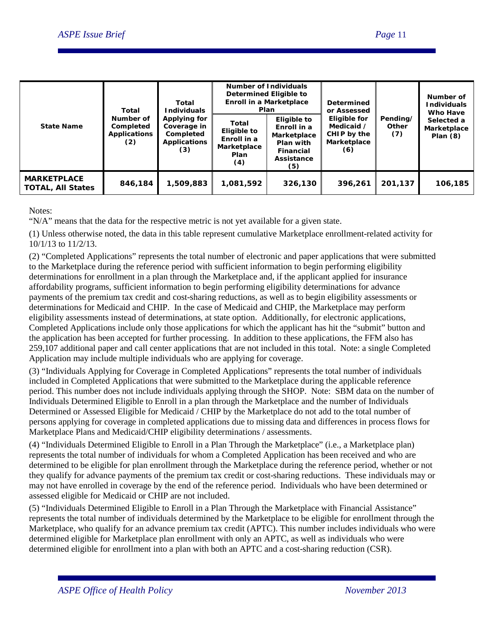| <b>State Name</b>                              | Total<br>Number of<br>Completed<br><b>Applications</b><br>(2) | Total<br><b>Individuals</b><br>Applying for<br>Coverage in<br>Completed<br><b>Applications</b><br>(3) | <b>Number of Individuals</b><br>Determined Eligible to<br>Plan    | Enroll in a Marketplace                                                                  | <b>Determined</b><br>or Assessed<br>Eligible for<br>Medicaid /<br>CHIP by the<br>Marketplace<br>(6) | Pending/<br>Other<br>(7) | Number of<br><b>Individuals</b><br>Who Have<br>Selected a<br>Marketplace<br>Plan $(8)$ |
|------------------------------------------------|---------------------------------------------------------------|-------------------------------------------------------------------------------------------------------|-------------------------------------------------------------------|------------------------------------------------------------------------------------------|-----------------------------------------------------------------------------------------------------|--------------------------|----------------------------------------------------------------------------------------|
|                                                |                                                               |                                                                                                       | Total<br>Eligible to<br>Enroll in a<br>Marketplace<br>Plan<br>(4) | Eligible to<br>Enroll in a<br>Marketplace<br>Plan with<br>Financial<br>Assistance<br>(5) |                                                                                                     |                          |                                                                                        |
| <b>MARKETPLACE</b><br><b>TOTAL, All States</b> | 846,184                                                       | 1,509,883                                                                                             | 1,081,592                                                         | 326,130                                                                                  | 396,261                                                                                             | 201,137                  | 106,185                                                                                |

Notes:

"N/A" means that the data for the respective metric is not yet available for a given state.

(1) Unless otherwise noted, the data in this table represent cumulative Marketplace enrollment-related activity for 10/1/13 to 11/2/13.

(2) "Completed Applications" represents the total number of electronic and paper applications that were submitted to the Marketplace during the reference period with sufficient information to begin performing eligibility determinations for enrollment in a plan through the Marketplace and, if the applicant applied for insurance affordability programs, sufficient information to begin performing eligibility determinations for advance payments of the premium tax credit and cost-sharing reductions, as well as to begin eligibility assessments or determinations for Medicaid and CHIP. In the case of Medicaid and CHIP, the Marketplace may perform eligibility assessments instead of determinations, at state option. Additionally, for electronic applications, Completed Applications include only those applications for which the applicant has hit the "submit" button and the application has been accepted for further processing. In addition to these applications, the FFM also has 259,107 additional paper and call center applications that are not included in this total. Note: a single Completed Application may include multiple individuals who are applying for coverage.

(3) "Individuals Applying for Coverage in Completed Applications" represents the total number of individuals included in Completed Applications that were submitted to the Marketplace during the applicable reference period. This number does not include individuals applying through the SHOP. Note: SBM data on the number of Individuals Determined Eligible to Enroll in a plan through the Marketplace and the number of Individuals Determined or Assessed Eligible for Medicaid / CHIP by the Marketplace do not add to the total number of persons applying for coverage in completed applications due to missing data and differences in process flows for Marketplace Plans and Medicaid/CHIP eligibility determinations / assessments.

(4) "Individuals Determined Eligible to Enroll in a Plan Through the Marketplace" (i.e., a Marketplace plan) represents the total number of individuals for whom a Completed Application has been received and who are determined to be eligible for plan enrollment through the Marketplace during the reference period, whether or not they qualify for advance payments of the premium tax credit or cost-sharing reductions. These individuals may or may not have enrolled in coverage by the end of the reference period. Individuals who have been determined or assessed eligible for Medicaid or CHIP are not included.

(5) "Individuals Determined Eligible to Enroll in a Plan Through the Marketplace with Financial Assistance" represents the total number of individuals determined by the Marketplace to be eligible for enrollment through the Marketplace, who qualify for an advance premium tax credit (APTC). This number includes individuals who were determined eligible for Marketplace plan enrollment with only an APTC, as well as individuals who were determined eligible for enrollment into a plan with both an APTC and a cost-sharing reduction (CSR).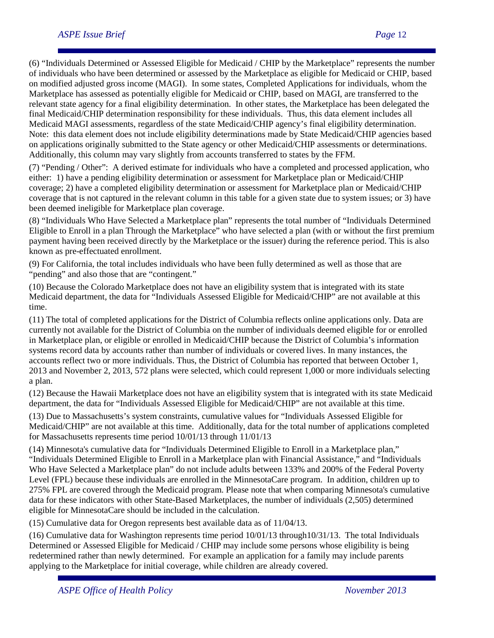(6) "Individuals Determined or Assessed Eligible for Medicaid / CHIP by the Marketplace" represents the number of individuals who have been determined or assessed by the Marketplace as eligible for Medicaid or CHIP, based on modified adjusted gross income (MAGI). In some states, Completed Applications for individuals, whom the Marketplace has assessed as potentially eligible for Medicaid or CHIP, based on MAGI, are transferred to the relevant state agency for a final eligibility determination. In other states, the Marketplace has been delegated the final Medicaid/CHIP determination responsibility for these individuals. Thus, this data element includes all Medicaid MAGI assessments, regardless of the state Medicaid/CHIP agency's final eligibility determination. Note: this data element does not include eligibility determinations made by State Medicaid/CHIP agencies based on applications originally submitted to the State agency or other Medicaid/CHIP assessments or determinations. Additionally, this column may vary slightly from accounts transferred to states by the FFM.

(7) "Pending / Other": A derived estimate for individuals who have a completed and processed application, who either: 1) have a pending eligibility determination or assessment for Marketplace plan or Medicaid/CHIP coverage; 2) have a completed eligibility determination or assessment for Marketplace plan or Medicaid/CHIP coverage that is not captured in the relevant column in this table for a given state due to system issues; or 3) have been deemed ineligible for Marketplace plan coverage.

(8) "Individuals Who Have Selected a Marketplace plan" represents the total number of "Individuals Determined Eligible to Enroll in a plan Through the Marketplace" who have selected a plan (with or without the first premium payment having been received directly by the Marketplace or the issuer) during the reference period. This is also known as pre-effectuated enrollment.

(9) For California, the total includes individuals who have been fully determined as well as those that are "pending" and also those that are "contingent."

(10) Because the Colorado Marketplace does not have an eligibility system that is integrated with its state Medicaid department, the data for "Individuals Assessed Eligible for Medicaid/CHIP" are not available at this time.

(11) The total of completed applications for the District of Columbia reflects online applications only. Data are currently not available for the District of Columbia on the number of individuals deemed eligible for or enrolled in Marketplace plan, or eligible or enrolled in Medicaid/CHIP because the District of Columbia's information systems record data by accounts rather than number of individuals or covered lives. In many instances, the accounts reflect two or more individuals. Thus, the District of Columbia has reported that between October 1, 2013 and November 2, 2013, 572 plans were selected, which could represent 1,000 or more individuals selecting a plan.

(12) Because the Hawaii Marketplace does not have an eligibility system that is integrated with its state Medicaid department, the data for "Individuals Assessed Eligible for Medicaid/CHIP" are not available at this time.

(13) Due to Massachusetts's system constraints, cumulative values for "Individuals Assessed Eligible for Medicaid/CHIP" are not available at this time. Additionally, data for the total number of applications completed for Massachusetts represents time period 10/01/13 through 11/01/13

(14) Minnesota's cumulative data for "Individuals Determined Eligible to Enroll in a Marketplace plan," "Individuals Determined Eligible to Enroll in a Marketplace plan with Financial Assistance," and "Individuals Who Have Selected a Marketplace plan" do not include adults between 133% and 200% of the Federal Poverty Level (FPL) because these individuals are enrolled in the MinnesotaCare program. In addition, children up to 275% FPL are covered through the Medicaid program. Please note that when comparing Minnesota's cumulative data for these indicators with other State-Based Marketplaces, the number of individuals (2,505) determined eligible for MinnesotaCare should be included in the calculation.

(15) Cumulative data for Oregon represents best available data as of 11/04/13.

(16) Cumulative data for Washington represents time period 10/01/13 through10/31/13. The total Individuals Determined or Assessed Eligible for Medicaid / CHIP may include some persons whose eligibility is being redetermined rather than newly determined. For example an application for a family may include parents applying to the Marketplace for initial coverage, while children are already covered.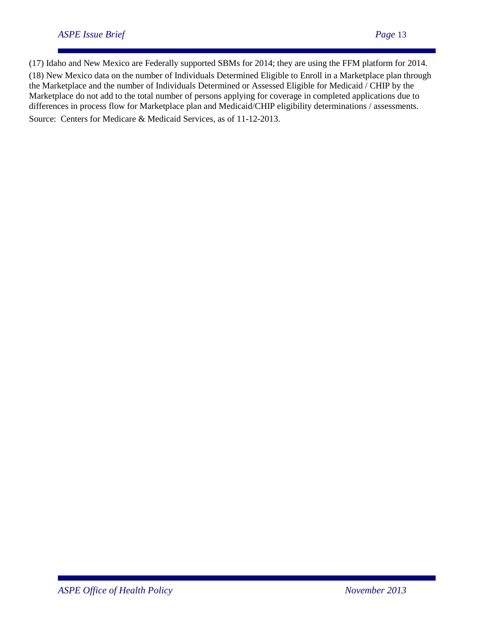(17) Idaho and New Mexico are Federally supported SBMs for 2014; they are using the FFM platform for 2014. (18) New Mexico data on the number of Individuals Determined Eligible to Enroll in a Marketplace plan through the Marketplace and the number of Individuals Determined or Assessed Eligible for Medicaid / CHIP by the Marketplace do not add to the total number of persons applying for coverage in completed applications due to differences in process flow for Marketplace plan and Medicaid/CHIP eligibility determinations / assessments. Source: Centers for Medicare & Medicaid Services, as of 11-12-2013.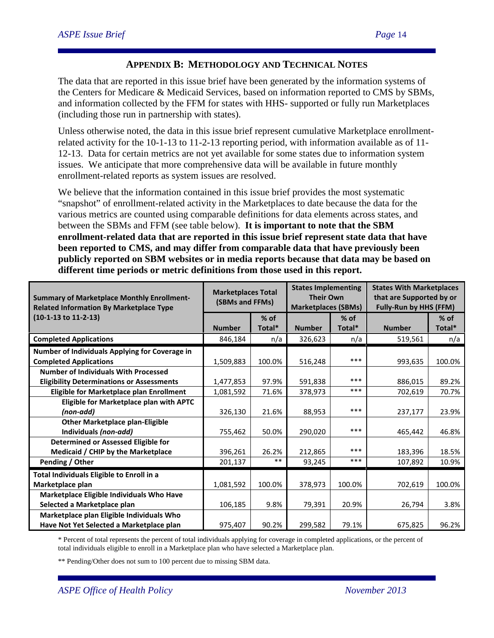# **APPENDIX B: METHODOLOGY AND TECHNICAL NOTES**

The data that are reported in this issue brief have been generated by the information systems of the Centers for Medicare & Medicaid Services, based on information reported to CMS by SBMs, and information collected by the FFM for states with HHS- supported or fully run Marketplaces (including those run in partnership with states).

Unless otherwise noted, the data in this issue brief represent cumulative Marketplace enrollmentrelated activity for the 10-1-13 to 11-2-13 reporting period, with information available as of 11- 12-13. Data for certain metrics are not yet available for some states due to information system issues. We anticipate that more comprehensive data will be available in future monthly enrollment-related reports as system issues are resolved.

We believe that the information contained in this issue brief provides the most systematic "snapshot" of enrollment-related activity in the Marketplaces to date because the data for the various metrics are counted using comparable definitions for data elements across states, and between the SBMs and FFM (see table below). **It is important to note that the SBM enrollment-related data that are reported in this issue brief represent state data that have been reported to CMS, and may differ from comparable data that have previously been publicly reported on SBM websites or in media reports because that data may be based on different time periods or metric definitions from those used in this report.** 

| <b>Summary of Marketplace Monthly Enrollment-</b><br><b>Related Information By Marketplace Type</b> | <b>Marketplaces Total</b><br>(SBMs and FFMs) |        | <b>States Implementing</b><br><b>Their Own</b><br><b>Marketplaces (SBMs)</b> |        | <b>States With Marketplaces</b><br>that are Supported by or<br><b>Fully-Run by HHS (FFM)</b> |        |
|-----------------------------------------------------------------------------------------------------|----------------------------------------------|--------|------------------------------------------------------------------------------|--------|----------------------------------------------------------------------------------------------|--------|
| (10-1-13 to 11-2-13)                                                                                |                                              | $%$ of |                                                                              | $%$ of |                                                                                              | $%$ of |
|                                                                                                     | <b>Number</b>                                | Total* | <b>Number</b>                                                                | Total* | <b>Number</b>                                                                                | Total* |
| <b>Completed Applications</b>                                                                       | 846,184                                      | n/a    | 326,623                                                                      | n/a    | 519,561                                                                                      | n/a    |
| Number of Individuals Applying for Coverage in                                                      |                                              |        |                                                                              |        |                                                                                              |        |
| <b>Completed Applications</b>                                                                       | 1,509,883                                    | 100.0% | 516,248                                                                      | ***    | 993,635                                                                                      | 100.0% |
| <b>Number of Individuals With Processed</b>                                                         |                                              |        |                                                                              |        |                                                                                              |        |
| <b>Eligibility Determinations or Assessments</b>                                                    | 1,477,853                                    | 97.9%  | 591,838                                                                      | ***    | 886,015                                                                                      | 89.2%  |
| Eligible for Marketplace plan Enrollment                                                            | 1,081,592                                    | 71.6%  | 378,973                                                                      | ***    | 702,619                                                                                      | 70.7%  |
| Eligible for Marketplace plan with APTC                                                             |                                              |        |                                                                              |        |                                                                                              |        |
| (non-add)                                                                                           | 326,130                                      | 21.6%  | 88,953                                                                       | ***    | 237,177                                                                                      | 23.9%  |
| <b>Other Marketplace plan-Eligible</b>                                                              |                                              |        |                                                                              |        |                                                                                              |        |
| Individuals (non-add)                                                                               | 755,462                                      | 50.0%  | 290,020                                                                      | ***    | 465,442                                                                                      | 46.8%  |
| Determined or Assessed Eligible for                                                                 |                                              |        |                                                                              |        |                                                                                              |        |
| Medicaid / CHIP by the Marketplace                                                                  | 396,261                                      | 26.2%  | 212,865                                                                      | ***    | 183,396                                                                                      | 18.5%  |
| Pending / Other                                                                                     | 201,137                                      | $***$  | 93,245                                                                       | ***    | 107,892                                                                                      | 10.9%  |
| Total Individuals Eligible to Enroll in a                                                           |                                              |        |                                                                              |        |                                                                                              |        |
| Marketplace plan                                                                                    | 1,081,592                                    | 100.0% | 378,973                                                                      | 100.0% | 702,619                                                                                      | 100.0% |
| Marketplace Eligible Individuals Who Have                                                           |                                              |        |                                                                              |        |                                                                                              |        |
| Selected a Marketplace plan                                                                         | 106,185                                      | 9.8%   | 79,391                                                                       | 20.9%  | 26,794                                                                                       | 3.8%   |
| Marketplace plan Eligible Individuals Who                                                           |                                              |        |                                                                              |        |                                                                                              |        |
| Have Not Yet Selected a Marketplace plan                                                            | 975,407                                      | 90.2%  | 299,582                                                                      | 79.1%  | 675,825                                                                                      | 96.2%  |

\* Percent of total represents the percent of total individuals applying for coverage in completed applications, or the percent of total individuals eligible to enroll in a Marketplace plan who have selected a Marketplace plan.

\*\* Pending/Other does not sum to 100 percent due to missing SBM data.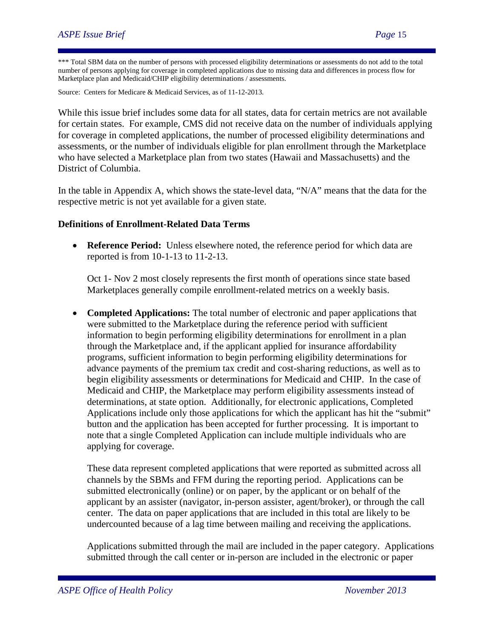\*\*\* Total SBM data on the number of persons with processed eligibility determinations or assessments do not add to the total number of persons applying for coverage in completed applications due to missing data and differences in process flow for Marketplace plan and Medicaid/CHIP eligibility determinations / assessments.

Source: Centers for Medicare & Medicaid Services, as of 11-12-2013.

While this issue brief includes some data for all states, data for certain metrics are not available for certain states. For example, CMS did not receive data on the number of individuals applying for coverage in completed applications, the number of processed eligibility determinations and assessments, or the number of individuals eligible for plan enrollment through the Marketplace who have selected a Marketplace plan from two states (Hawaii and Massachusetts) and the District of Columbia.

In the table in Appendix A, which shows the state-level data, "N/A" means that the data for the respective metric is not yet available for a given state.

#### **Definitions of Enrollment-Related Data Terms**

• **Reference Period:** Unless elsewhere noted, the reference period for which data are reported is from 10-1-13 to 11-2-13.

Oct 1- Nov 2 most closely represents the first month of operations since state based Marketplaces generally compile enrollment-related metrics on a weekly basis.

• **Completed Applications:** The total number of electronic and paper applications that were submitted to the Marketplace during the reference period with sufficient information to begin performing eligibility determinations for enrollment in a plan through the Marketplace and, if the applicant applied for insurance affordability programs, sufficient information to begin performing eligibility determinations for advance payments of the premium tax credit and cost-sharing reductions, as well as to begin eligibility assessments or determinations for Medicaid and CHIP. In the case of Medicaid and CHIP, the Marketplace may perform eligibility assessments instead of determinations, at state option. Additionally, for electronic applications, Completed Applications include only those applications for which the applicant has hit the "submit" button and the application has been accepted for further processing. It is important to note that a single Completed Application can include multiple individuals who are applying for coverage.

These data represent completed applications that were reported as submitted across all channels by the SBMs and FFM during the reporting period. Applications can be submitted electronically (online) or on paper, by the applicant or on behalf of the applicant by an assister (navigator, in-person assister, agent/broker), or through the call center. The data on paper applications that are included in this total are likely to be undercounted because of a lag time between mailing and receiving the applications.

Applications submitted through the mail are included in the paper category. Applications submitted through the call center or in-person are included in the electronic or paper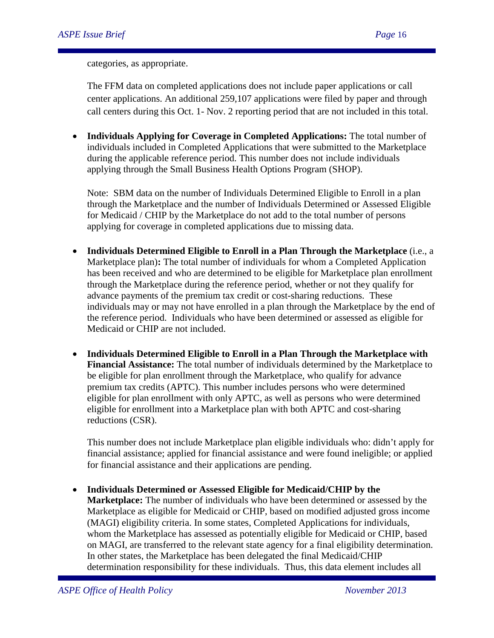categories, as appropriate.

The FFM data on completed applications does not include paper applications or call center applications. An additional 259,107 applications were filed by paper and through call centers during this Oct. 1- Nov. 2 reporting period that are not included in this total.

• **Individuals Applying for Coverage in Completed Applications:** The total number of individuals included in Completed Applications that were submitted to the Marketplace during the applicable reference period. This number does not include individuals applying through the Small Business Health Options Program (SHOP).

Note: SBM data on the number of Individuals Determined Eligible to Enroll in a plan through the Marketplace and the number of Individuals Determined or Assessed Eligible for Medicaid / CHIP by the Marketplace do not add to the total number of persons applying for coverage in completed applications due to missing data.

- **Individuals Determined Eligible to Enroll in a Plan Through the Marketplace** (i.e., a Marketplace plan)**:** The total number of individuals for whom a Completed Application has been received and who are determined to be eligible for Marketplace plan enrollment through the Marketplace during the reference period, whether or not they qualify for advance payments of the premium tax credit or cost-sharing reductions. These individuals may or may not have enrolled in a plan through the Marketplace by the end of the reference period. Individuals who have been determined or assessed as eligible for Medicaid or CHIP are not included.
- **Individuals Determined Eligible to Enroll in a Plan Through the Marketplace with Financial Assistance:** The total number of individuals determined by the Marketplace to be eligible for plan enrollment through the Marketplace, who qualify for advance premium tax credits (APTC). This number includes persons who were determined eligible for plan enrollment with only APTC, as well as persons who were determined eligible for enrollment into a Marketplace plan with both APTC and cost-sharing reductions (CSR).

This number does not include Marketplace plan eligible individuals who: didn't apply for financial assistance; applied for financial assistance and were found ineligible; or applied for financial assistance and their applications are pending.

• **Individuals Determined or Assessed Eligible for Medicaid/CHIP by the Marketplace:** The number of individuals who have been determined or assessed by the Marketplace as eligible for Medicaid or CHIP, based on modified adjusted gross income (MAGI) eligibility criteria. In some states, Completed Applications for individuals, whom the Marketplace has assessed as potentially eligible for Medicaid or CHIP, based on MAGI, are transferred to the relevant state agency for a final eligibility determination. In other states, the Marketplace has been delegated the final Medicaid/CHIP determination responsibility for these individuals. Thus, this data element includes all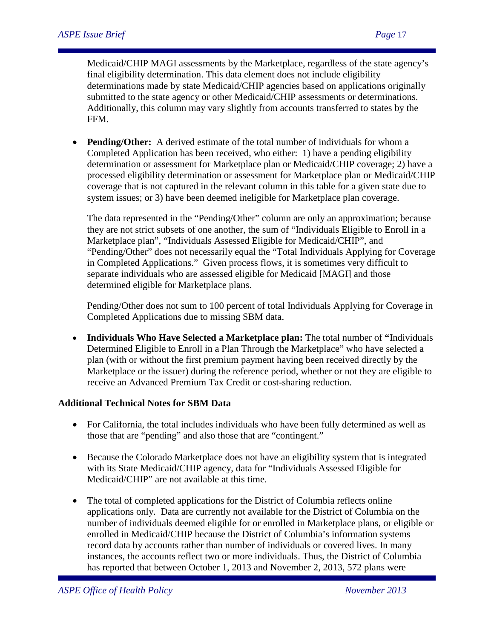Medicaid/CHIP MAGI assessments by the Marketplace, regardless of the state agency's final eligibility determination. This data element does not include eligibility determinations made by state Medicaid/CHIP agencies based on applications originally submitted to the state agency or other Medicaid/CHIP assessments or determinations. Additionally, this column may vary slightly from accounts transferred to states by the FFM.

• **Pending/Other:** A derived estimate of the total number of individuals for whom a Completed Application has been received, who either: 1) have a pending eligibility determination or assessment for Marketplace plan or Medicaid/CHIP coverage; 2) have a processed eligibility determination or assessment for Marketplace plan or Medicaid/CHIP coverage that is not captured in the relevant column in this table for a given state due to system issues; or 3) have been deemed ineligible for Marketplace plan coverage.

The data represented in the "Pending/Other" column are only an approximation; because they are not strict subsets of one another, the sum of "Individuals Eligible to Enroll in a Marketplace plan", "Individuals Assessed Eligible for Medicaid/CHIP", and "Pending/Other" does not necessarily equal the "Total Individuals Applying for Coverage in Completed Applications." Given process flows, it is sometimes very difficult to separate individuals who are assessed eligible for Medicaid [MAGI] and those determined eligible for Marketplace plans.

Pending/Other does not sum to 100 percent of total Individuals Applying for Coverage in Completed Applications due to missing SBM data.

• **Individuals Who Have Selected a Marketplace plan:** The total number of **"**Individuals Determined Eligible to Enroll in a Plan Through the Marketplace" who have selected a plan (with or without the first premium payment having been received directly by the Marketplace or the issuer) during the reference period, whether or not they are eligible to receive an Advanced Premium Tax Credit or cost-sharing reduction.

#### **Additional Technical Notes for SBM Data**

- For California, the total includes individuals who have been fully determined as well as those that are "pending" and also those that are "contingent."
- Because the Colorado Marketplace does not have an eligibility system that is integrated with its State Medicaid/CHIP agency, data for "Individuals Assessed Eligible for Medicaid/CHIP" are not available at this time.
- The total of completed applications for the District of Columbia reflects online applications only. Data are currently not available for the District of Columbia on the number of individuals deemed eligible for or enrolled in Marketplace plans, or eligible or enrolled in Medicaid/CHIP because the District of Columbia's information systems record data by accounts rather than number of individuals or covered lives. In many instances, the accounts reflect two or more individuals. Thus, the District of Columbia has reported that between October 1, 2013 and November 2, 2013, 572 plans were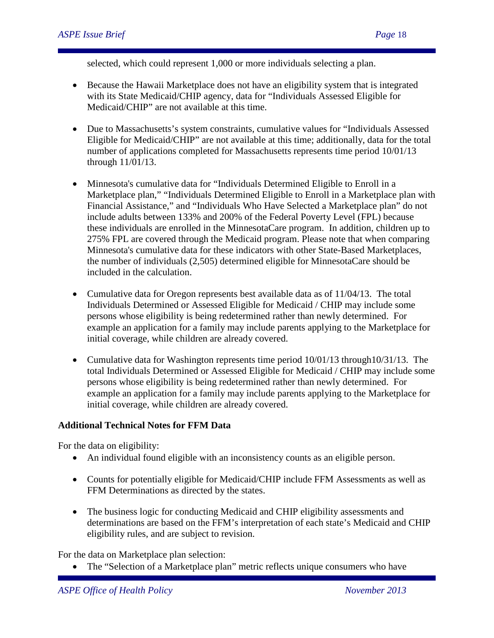selected, which could represent 1,000 or more individuals selecting a plan.

- Because the Hawaii Marketplace does not have an eligibility system that is integrated with its State Medicaid/CHIP agency, data for "Individuals Assessed Eligible for Medicaid/CHIP" are not available at this time.
- Due to Massachusetts's system constraints, cumulative values for "Individuals Assessed Eligible for Medicaid/CHIP" are not available at this time; additionally, data for the total number of applications completed for Massachusetts represents time period 10/01/13 through 11/01/13.
- Minnesota's cumulative data for "Individuals Determined Eligible to Enroll in a Marketplace plan," "Individuals Determined Eligible to Enroll in a Marketplace plan with Financial Assistance," and "Individuals Who Have Selected a Marketplace plan" do not include adults between 133% and 200% of the Federal Poverty Level (FPL) because these individuals are enrolled in the MinnesotaCare program. In addition, children up to 275% FPL are covered through the Medicaid program. Please note that when comparing Minnesota's cumulative data for these indicators with other State-Based Marketplaces, the number of individuals (2,505) determined eligible for MinnesotaCare should be included in the calculation.
- Cumulative data for Oregon represents best available data as of  $11/04/13$ . The total Individuals Determined or Assessed Eligible for Medicaid / CHIP may include some persons whose eligibility is being redetermined rather than newly determined. For example an application for a family may include parents applying to the Marketplace for initial coverage, while children are already covered.
- Cumulative data for Washington represents time period  $10/01/13$  through  $10/31/13$ . The total Individuals Determined or Assessed Eligible for Medicaid / CHIP may include some persons whose eligibility is being redetermined rather than newly determined. For example an application for a family may include parents applying to the Marketplace for initial coverage, while children are already covered.

#### **Additional Technical Notes for FFM Data**

For the data on eligibility:

- An individual found eligible with an inconsistency counts as an eligible person.
- Counts for potentially eligible for Medicaid/CHIP include FFM Assessments as well as FFM Determinations as directed by the states.
- The business logic for conducting Medicaid and CHIP eligibility assessments and determinations are based on the FFM's interpretation of each state's Medicaid and CHIP eligibility rules, and are subject to revision.

For the data on Marketplace plan selection:

• The "Selection of a Marketplace plan" metric reflects unique consumers who have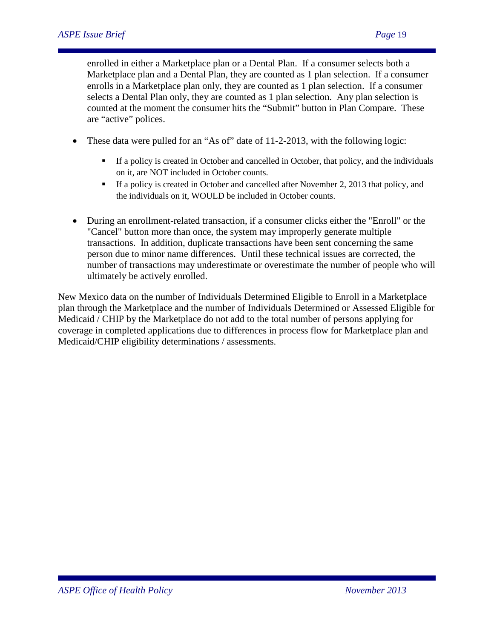enrolled in either a Marketplace plan or a Dental Plan. If a consumer selects both a Marketplace plan and a Dental Plan, they are counted as 1 plan selection. If a consumer enrolls in a Marketplace plan only, they are counted as 1 plan selection. If a consumer selects a Dental Plan only, they are counted as 1 plan selection. Any plan selection is counted at the moment the consumer hits the "Submit" button in Plan Compare. These are "active" polices.

- These data were pulled for an "As of" date of 11-2-2013, with the following logic:
	- If a policy is created in October and cancelled in October, that policy, and the individuals on it, are NOT included in October counts.
	- If a policy is created in October and cancelled after November 2, 2013 that policy, and the individuals on it, WOULD be included in October counts.
- During an enrollment-related transaction, if a consumer clicks either the "Enroll" or the "Cancel" button more than once, the system may improperly generate multiple transactions. In addition, duplicate transactions have been sent concerning the same person due to minor name differences. Until these technical issues are corrected, the number of transactions may underestimate or overestimate the number of people who will ultimately be actively enrolled.

New Mexico data on the number of Individuals Determined Eligible to Enroll in a Marketplace plan through the Marketplace and the number of Individuals Determined or Assessed Eligible for Medicaid / CHIP by the Marketplace do not add to the total number of persons applying for coverage in completed applications due to differences in process flow for Marketplace plan and Medicaid/CHIP eligibility determinations / assessments.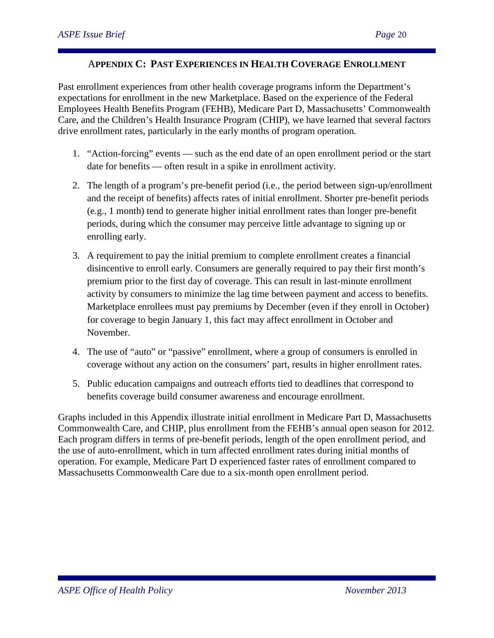#### A**PPENDIX C: PAST EXPERIENCES IN HEALTH COVERAGE ENROLLMENT**

Past enrollment experiences from other health coverage programs inform the Department's expectations for enrollment in the new Marketplace. Based on the experience of the Federal Employees Health Benefits Program (FEHB), Medicare Part D, Massachusetts' Commonwealth Care, and the Children's Health Insurance Program (CHIP), we have learned that several factors drive enrollment rates, particularly in the early months of program operation.

- 1. "Action-forcing" events such as the end date of an open enrollment period or the start date for benefits — often result in a spike in enrollment activity.
- 2. The length of a program's pre-benefit period (i.e., the period between sign-up/enrollment and the receipt of benefits) affects rates of initial enrollment. Shorter pre-benefit periods (e.g., 1 month) tend to generate higher initial enrollment rates than longer pre-benefit periods, during which the consumer may perceive little advantage to signing up or enrolling early.
- 3. A requirement to pay the initial premium to complete enrollment creates a financial disincentive to enroll early. Consumers are generally required to pay their first month's premium prior to the first day of coverage. This can result in last-minute enrollment activity by consumers to minimize the lag time between payment and access to benefits. Marketplace enrollees must pay premiums by December (even if they enroll in October) for coverage to begin January 1, this fact may affect enrollment in October and November.
- 4. The use of "auto" or "passive" enrollment, where a group of consumers is enrolled in coverage without any action on the consumers' part, results in higher enrollment rates.
- 5. Public education campaigns and outreach efforts tied to deadlines that correspond to benefits coverage build consumer awareness and encourage enrollment.

Graphs included in this Appendix illustrate initial enrollment in Medicare Part D, Massachusetts Commonwealth Care, and CHIP, plus enrollment from the FEHB's annual open season for 2012. Each program differs in terms of pre-benefit periods, length of the open enrollment period, and the use of auto-enrollment, which in turn affected enrollment rates during initial months of operation. For example, Medicare Part D experienced faster rates of enrollment compared to Massachusetts Commonwealth Care due to a six-month open enrollment period.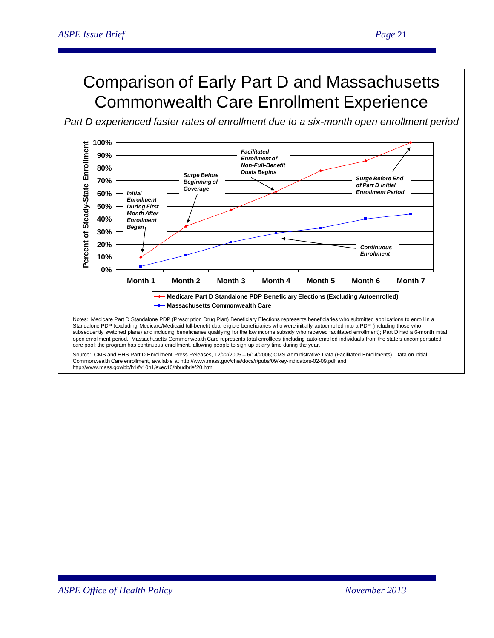# Comparison of Early Part D and Massachusetts Commonwealth Care Enrollment Experience

*Part D experienced faster rates of enrollment due to a six-month open enrollment period* 



subsequently switched plans) and including beneficiaries qualifying for the low income subsidy who received facilitated enrollment); Part D had a 6-month initial open enrollment period. Massachusetts Commonwealth Care represents total enrolllees (including auto-enrolled individuals from the state's uncompensated care pool; the program has continuous enrollment, allowing people to sign up at any time during the year.

Source: CMS and HHS Part D Enrollment Press Releases, 12/22/2005 – 6/14/2006; CMS Administrative Data (Facilitated Enrollments). Data on initial Commonwealth Care enrollment, available at http://www.mass.gov/chia/docs/r/pubs/09/key-indicators-02-09.pdf and http://www.mass.gov/bb/h1/fy10h1/exec10/hbudbrief20.htm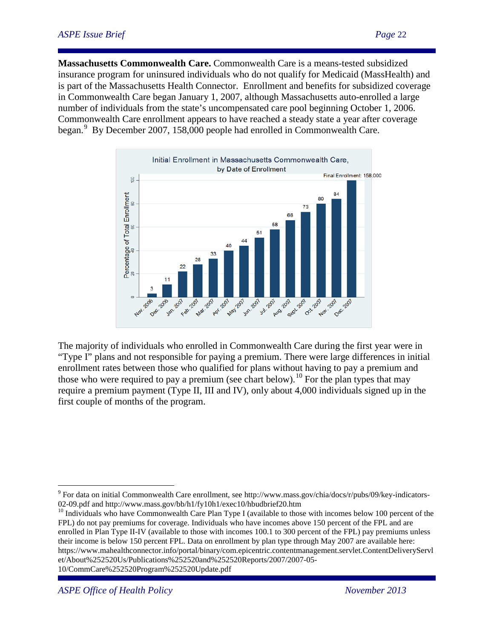**Massachusetts Commonwealth Care.** Commonwealth Care is a means-tested subsidized insurance program for uninsured individuals who do not qualify for Medicaid (MassHealth) and is part of the Massachusetts Health Connector. Enrollment and benefits for subsidized coverage in Commonwealth Care began January 1, 2007, although Massachusetts auto-enrolled a large number of individuals from the state's uncompensated care pool beginning October 1, 2006. Commonwealth Care enrollment appears to have reached a steady state a year after coverage began.<sup>[9](#page-5-1)</sup> By December 2007, 158,000 people had enrolled in Commonwealth Care.



The majority of individuals who enrolled in Commonwealth Care during the first year were in "Type I" plans and not responsible for paying a premium. There were large differences in initial enrollment rates between those who qualified for plans without having to pay a premium and those who were required to pay a premium (see chart below).<sup>[10](#page-21-0)</sup> For the plan types that may require a premium payment (Type II, III and IV), only about 4,000 individuals signed up in the first couple of months of the program.

10/CommCare%252520Program%252520Update.pdf

 $\overline{a}$ 

<sup>9</sup> For data on initial Commonwealth Care enrollment, see http://www.mass.gov/chia/docs/r/pubs/09/key-indicators-02-09.pdf and http://www.mass.gov/bb/h1/fy10h1/exec10/hbudbrief20.htm<br><sup>10</sup> Individuals who have Commonwealth Care Plan Type I (available to those with incomes below 100 percent of the

<span id="page-21-1"></span><span id="page-21-0"></span>FPL) do not pay premiums for coverage. Individuals who have incomes above 150 percent of the FPL and are enrolled in Plan Type II-IV (available to those with incomes 100.1 to 300 percent of the FPL) pay premiums unless their income is below 150 percent FPL. Data on enrollment by plan type through May 2007 are available here: https://www.mahealthconnector.info/portal/binary/com.epicentric.contentmanagement.servlet.ContentDeliveryServl et/About%252520Us/Publications%252520and%252520Reports/2007/2007-05-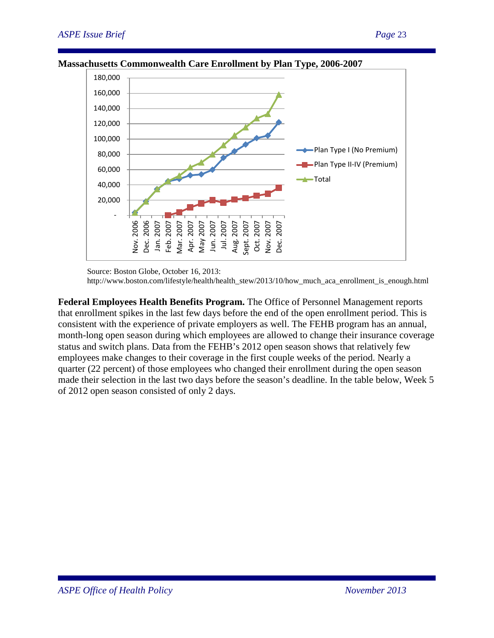

#### **Massachusetts Commonwealth Care Enrollment by Plan Type, 2006-2007**

Source: Boston Globe, October 16, 2013:

http://www.boston.com/lifestyle/health/health\_stew/2013/10/how\_much\_aca\_enrollment\_is\_enough.html

**Federal Employees Health Benefits Program.** The Office of Personnel Management reports that enrollment spikes in the last few days before the end of the open enrollment period. This is consistent with the experience of private employers as well. The FEHB program has an annual, month-long open season during which employees are allowed to change their insurance coverage status and switch plans. Data from the FEHB's 2012 open season shows that relatively few employees make changes to their coverage in the first couple weeks of the period. Nearly a quarter (22 percent) of those employees who changed their enrollment during the open season made their selection in the last two days before the season's deadline. In the table below, Week 5 of 2012 open season consisted of only 2 days.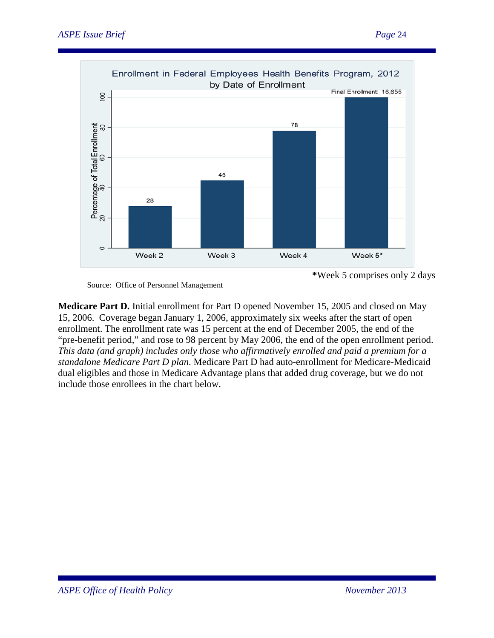

Source: Office of Personnel Management

**Medicare Part D.** Initial enrollment for Part D opened November 15, 2005 and closed on May 15, 2006. Coverage began January 1, 2006, approximately six weeks after the start of open enrollment. The enrollment rate was 15 percent at the end of December 2005, the end of the "pre-benefit period," and rose to 98 percent by May 2006, the end of the open enrollment period. *This data (and graph) includes only those who affirmatively enrolled and paid a premium for a standalone Medicare Part D plan*. Medicare Part D had auto-enrollment for Medicare-Medicaid dual eligibles and those in Medicare Advantage plans that added drug coverage, but we do not include those enrollees in the chart below.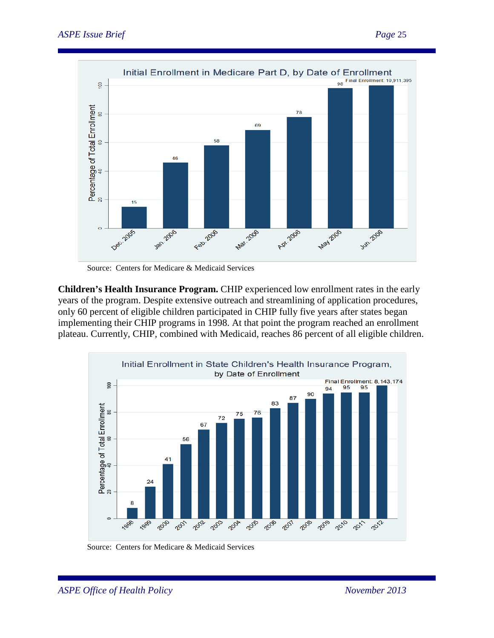

Source: Centers for Medicare & Medicaid Services

**Children's Health Insurance Program.** CHIP experienced low enrollment rates in the early years of the program. Despite extensive outreach and streamlining of application procedures, only 60 percent of eligible children participated in CHIP fully five years after states began implementing their CHIP programs in 1998. At that point the program reached an enrollment plateau. Currently, CHIP, combined with Medicaid, reaches 86 percent of all eligible children.



Source: Centers for Medicare & Medicaid Services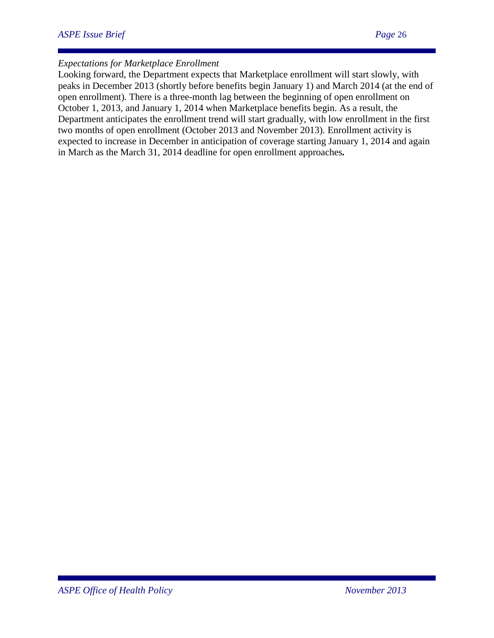# *Expectations for Marketplace Enrollment*

Looking forward, the Department expects that Marketplace enrollment will start slowly, with peaks in December 2013 (shortly before benefits begin January 1) and March 2014 (at the end of open enrollment). There is a three-month lag between the beginning of open enrollment on October 1, 2013, and January 1, 2014 when Marketplace benefits begin. As a result, the Department anticipates the enrollment trend will start gradually, with low enrollment in the first two months of open enrollment (October 2013 and November 2013). Enrollment activity is expected to increase in December in anticipation of coverage starting January 1, 2014 and again in March as the March 31, 2014 deadline for open enrollment approaches*.*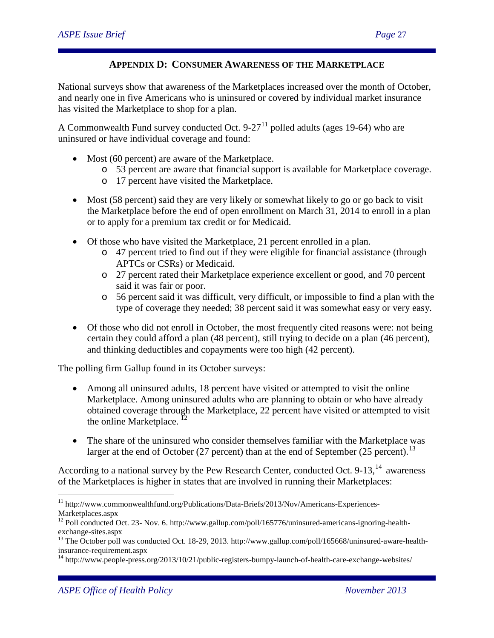# **APPENDIX D: CONSUMER AWARENESS OF THE MARKETPLACE**

National surveys show that awareness of the Marketplaces increased over the month of October, and nearly one in five Americans who is uninsured or covered by individual market insurance has visited the Marketplace to shop for a plan.

A Commonwealth Fund survey conducted Oct.  $9-27<sup>11</sup>$  $9-27<sup>11</sup>$  $9-27<sup>11</sup>$  polled adults (ages 19-64) who are uninsured or have individual coverage and found:

- Most (60 percent) are aware of the Marketplace.
	- o 53 percent are aware that financial support is available for Marketplace coverage.
	- o 17 percent have visited the Marketplace.
- Most (58 percent) said they are very likely or somewhat likely to go or go back to visit the Marketplace before the end of open enrollment on March 31, 2014 to enroll in a plan or to apply for a premium tax credit or for Medicaid.
- Of those who have visited the Marketplace, 21 percent enrolled in a plan.
	- o 47 percent tried to find out if they were eligible for financial assistance (through APTCs or CSRs) or Medicaid.
	- o 27 percent rated their Marketplace experience excellent or good, and 70 percent said it was fair or poor.
	- o 56 percent said it was difficult, very difficult, or impossible to find a plan with the type of coverage they needed; 38 percent said it was somewhat easy or very easy.
- Of those who did not enroll in October, the most frequently cited reasons were: not being certain they could afford a plan (48 percent), still trying to decide on a plan (46 percent), and thinking deductibles and copayments were too high (42 percent).

The polling firm Gallup found in its October surveys:

- Among all uninsured adults, 18 percent have visited or attempted to visit the online Marketplace. Among uninsured adults who are planning to obtain or who have already obtained coverage through the Marketplace, 22 percent have visited or attempted to visit the online Marketplace.<sup>[12](#page-26-0)</sup>
- The share of the uninsured who consider themselves familiar with the Marketplace was larger at the end of October (27 percent) than at the end of September (25 percent).<sup>[13](#page-26-1)</sup>

According to a national survey by the Pew Research Center, conducted Oct.  $9-13$ ,  $14$  awareness of the Marketplaces is higher in states that are involved in running their Marketplaces:

 $\overline{a}$ <sup>11</sup> http://www.commonwealthfund.org/Publications/Data-Briefs/2013/Nov/Americans-Experiences-Marketplaces.aspx

<sup>&</sup>lt;sup>12</sup> Poll conducted Oct. 23- Nov. 6. http://www.gallup.com/poll/165776/uninsured-americans-ignoring-health-

<span id="page-26-1"></span><span id="page-26-0"></span>exchange-sites.aspx<br><sup>13</sup> The October poll was conducted Oct. 18-29, 2013. http://www.gallup.com/poll/165668/uninsured-aware-health-<br>insurance-requirement.aspx

<span id="page-26-2"></span><sup>&</sup>lt;sup>14</sup> http://www.people-press.org/2013/10/21/public-registers-bumpy-launch-of-health-care-exchange-websites/